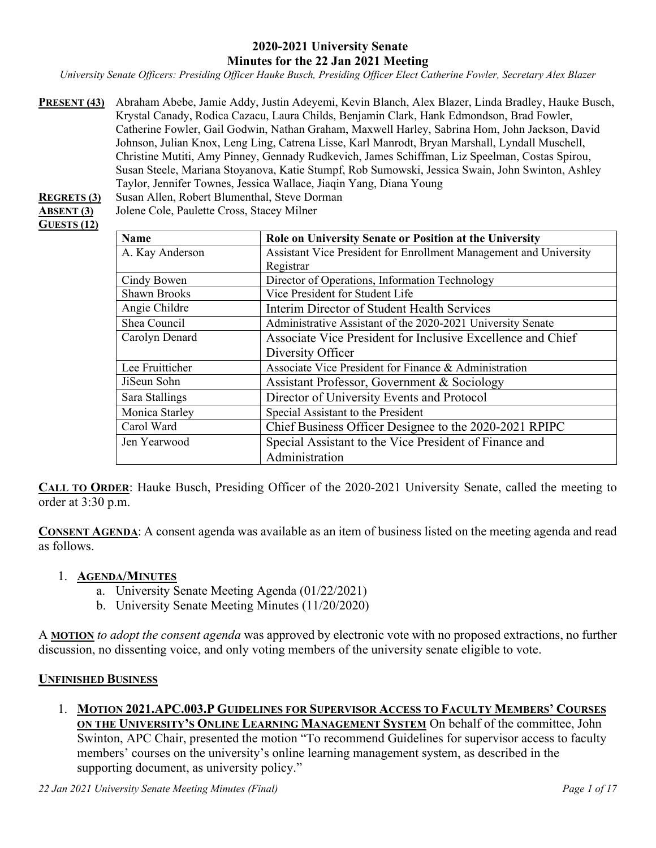#### **2020-2021 University Senate Minutes for the 22 Jan 2021 Meeting**

*University Senate Officers: Presiding Officer Hauke Busch, Presiding Officer Elect Catherine Fowler, Secretary Alex Blazer*

**PRESENT (43)** Abraham Abebe, Jamie Addy, Justin Adeyemi, Kevin Blanch, Alex Blazer, Linda Bradley, Hauke Busch, Krystal Canady, Rodica Cazacu, Laura Childs, Benjamin Clark, Hank Edmondson, Brad Fowler, Catherine Fowler, Gail Godwin, Nathan Graham, Maxwell Harley, Sabrina Hom, John Jackson, David Johnson, Julian Knox, Leng Ling, Catrena Lisse, Karl Manrodt, Bryan Marshall, Lyndall Muschell, Christine Mutiti, Amy Pinney, Gennady Rudkevich, James Schiffman, Liz Speelman, Costas Spirou, Susan Steele, Mariana Stoyanova, Katie Stumpf, Rob Sumowski, Jessica Swain, John Swinton, Ashley Taylor, Jennifer Townes, Jessica Wallace, Jiaqin Yang, Diana Young

#### **REGRETS (3)** Susan Allen, Robert Blumenthal, Steve Dorman **ABSENT (3)** Jolene Cole, Paulette Cross, Stacey Milner **GUESTS (12)**

| <b>Name</b>         | Role on University Senate or Position at the University           |
|---------------------|-------------------------------------------------------------------|
| A. Kay Anderson     | Assistant Vice President for Enrollment Management and University |
|                     | Registrar                                                         |
| Cindy Bowen         | Director of Operations, Information Technology                    |
| <b>Shawn Brooks</b> | Vice President for Student Life                                   |
| Angie Childre       | Interim Director of Student Health Services                       |
| Shea Council        | Administrative Assistant of the 2020-2021 University Senate       |
| Carolyn Denard      | Associate Vice President for Inclusive Excellence and Chief       |
|                     | Diversity Officer                                                 |
| Lee Fruitticher     | Associate Vice President for Finance & Administration             |
| JiSeun Sohn         | Assistant Professor, Government & Sociology                       |
| Sara Stallings      | Director of University Events and Protocol                        |
| Monica Starley      | Special Assistant to the President                                |
| Carol Ward          | Chief Business Officer Designee to the 2020-2021 RPIPC            |
| Jen Yearwood        | Special Assistant to the Vice President of Finance and            |
|                     | Administration                                                    |

**CALL TO ORDER**: Hauke Busch, Presiding Officer of the 2020-2021 University Senate, called the meeting to order at 3:30 p.m.

**CONSENT AGENDA**: A consent agenda was available as an item of business listed on the meeting agenda and read as follows.

### 1. **AGENDA/MINUTES**

- a. University Senate Meeting Agenda (01/22/2021)
- b. University Senate Meeting Minutes (11/20/2020)

A **MOTION** *to adopt the consent agenda* was approved by electronic vote with no proposed extractions, no further discussion, no dissenting voice, and only voting members of the university senate eligible to vote.

#### **UNFINISHED BUSINESS**

1. **MOTION 2021.APC.003.P GUIDELINES FOR SUPERVISOR ACCESS TO FACULTY MEMBERS' COURSES ON THE UNIVERSITY'S ONLINE LEARNING MANAGEMENT SYSTEM** On behalf of the committee, John Swinton, APC Chair, presented the motion "To recommend Guidelines for supervisor access to faculty members' courses on the university's online learning management system, as described in the supporting document, as university policy."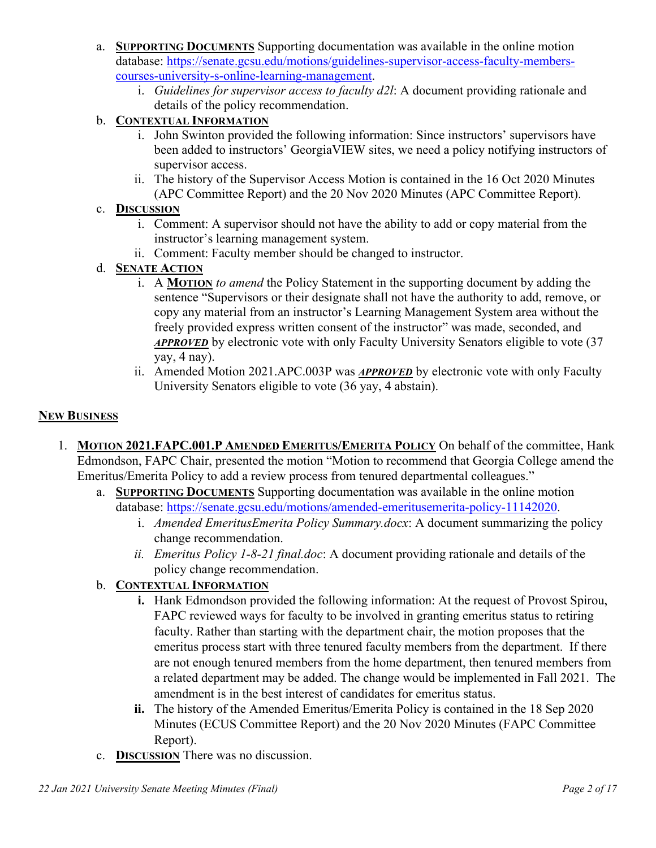- a. **SUPPORTING DOCUMENTS** Supporting documentation was available in the online motion database: [https://senate.gcsu.edu/motions/guidelines-supervisor-access-faculty-members](https://senate.gcsu.edu/motions/guidelines-supervisor-access-faculty-members-courses-university-s-online-learning-management)[courses-university-s-online-learning-management.](https://senate.gcsu.edu/motions/guidelines-supervisor-access-faculty-members-courses-university-s-online-learning-management)
	- i. *Guidelines for supervisor access to faculty d2l*: A document providing rationale and details of the policy recommendation.

# b. **CONTEXTUAL INFORMATION**

- i. John Swinton provided the following information: Since instructors' supervisors have been added to instructors' GeorgiaVIEW sites, we need a policy notifying instructors of supervisor access.
- ii. The history of the Supervisor Access Motion is contained in the 16 Oct 2020 Minutes (APC Committee Report) and the 20 Nov 2020 Minutes (APC Committee Report).

# c. **DISCUSSION**

- i. Comment: A supervisor should not have the ability to add or copy material from the instructor's learning management system.
- ii. Comment: Faculty member should be changed to instructor.

### d. **SENATE ACTION**

- i. A **MOTION** *to amend* the Policy Statement in the supporting document by adding the sentence "Supervisors or their designate shall not have the authority to add, remove, or copy any material from an instructor's Learning Management System area without the freely provided express written consent of the instructor" was made, seconded, and *APPROVED* by electronic vote with only Faculty University Senators eligible to vote (37 yay, 4 nay).
- ii. Amended Motion 2021.APC.003P was *APPROVED* by electronic vote with only Faculty University Senators eligible to vote (36 yay, 4 abstain).

### **NEW BUSINESS**

- 1. **MOTION 2021.FAPC.001.P AMENDED EMERITUS/EMERITA POLICY** On behalf of the committee, Hank Edmondson, FAPC Chair, presented the motion "Motion to recommend that Georgia College amend the Emeritus/Emerita Policy to add a review process from tenured departmental colleagues."
	- a. **SUPPORTING DOCUMENTS** Supporting documentation was available in the online motion database: [https://senate.gcsu.edu/motions/amended-emeritusemerita-policy-11142020.](https://senate.gcsu.edu/motions/amended-emeritusemerita-policy-11142020)
		- i. *Amended EmeritusEmerita Policy Summary.docx*: A document summarizing the policy change recommendation.
		- *ii. Emeritus Policy 1-8-21 final.doc*: A document providing rationale and details of the policy change recommendation.

# b. **CONTEXTUAL INFORMATION**

- **i.** Hank Edmondson provided the following information: At the request of Provost Spirou, FAPC reviewed ways for faculty to be involved in granting emeritus status to retiring faculty. Rather than starting with the department chair, the motion proposes that the emeritus process start with three tenured faculty members from the department. If there are not enough tenured members from the home department, then tenured members from a related department may be added. The change would be implemented in Fall 2021. The amendment is in the best interest of candidates for emeritus status.
- **ii.** The history of the Amended Emeritus/Emerita Policy is contained in the 18 Sep 2020 Minutes (ECUS Committee Report) and the 20 Nov 2020 Minutes (FAPC Committee Report).
- c. **DISCUSSION** There was no discussion.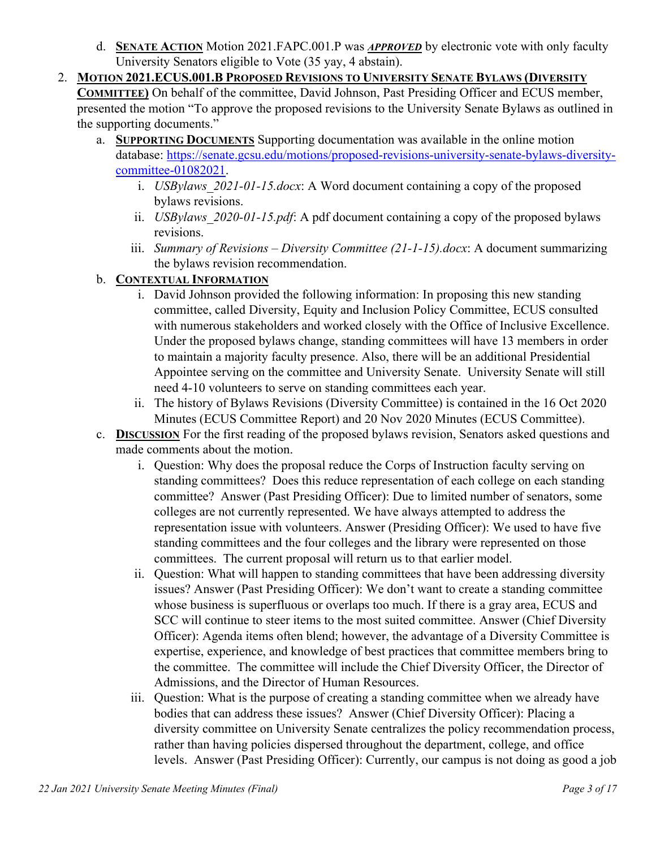- d. **SENATE ACTION** Motion 2021.FAPC.001.P was *APPROVED* by electronic vote with only faculty University Senators eligible to Vote (35 yay, 4 abstain).
- 2. **MOTION 2021.ECUS.001.B PROPOSED REVISIONS TO UNIVERSITY SENATE BYLAWS (DIVERSITY COMMITTEE)** On behalf of the committee, David Johnson, Past Presiding Officer and ECUS member, presented the motion "To approve the proposed revisions to the University Senate Bylaws as outlined in the supporting documents."
	- a. **SUPPORTING DOCUMENTS** Supporting documentation was available in the online motion database: [https://senate.gcsu.edu/motions/proposed-revisions-university-senate-bylaws-diversity](https://senate.gcsu.edu/motions/proposed-revisions-university-senate-bylaws-diversity-committee-01082021)[committee-01082021.](https://senate.gcsu.edu/motions/proposed-revisions-university-senate-bylaws-diversity-committee-01082021)
		- i. *USBylaws\_2021-01-15.docx*: A Word document containing a copy of the proposed bylaws revisions.
		- ii. *USBylaws\_2020-01-15.pdf*: A pdf document containing a copy of the proposed bylaws revisions.
		- iii. *Summary of Revisions – Diversity Committee (21-1-15).docx*: A document summarizing the bylaws revision recommendation.
	- b. **CONTEXTUAL INFORMATION**
		- i. David Johnson provided the following information: In proposing this new standing committee, called Diversity, Equity and Inclusion Policy Committee, ECUS consulted with numerous stakeholders and worked closely with the Office of Inclusive Excellence. Under the proposed bylaws change, standing committees will have 13 members in order to maintain a majority faculty presence. Also, there will be an additional Presidential Appointee serving on the committee and University Senate. University Senate will still need 4-10 volunteers to serve on standing committees each year.
		- ii. The history of Bylaws Revisions (Diversity Committee) is contained in the 16 Oct 2020 Minutes (ECUS Committee Report) and 20 Nov 2020 Minutes (ECUS Committee).
	- c. **DISCUSSION** For the first reading of the proposed bylaws revision, Senators asked questions and made comments about the motion.
		- i. Question: Why does the proposal reduce the Corps of Instruction faculty serving on standing committees? Does this reduce representation of each college on each standing committee? Answer (Past Presiding Officer): Due to limited number of senators, some colleges are not currently represented. We have always attempted to address the representation issue with volunteers. Answer (Presiding Officer): We used to have five standing committees and the four colleges and the library were represented on those committees. The current proposal will return us to that earlier model.
		- ii. Question: What will happen to standing committees that have been addressing diversity issues? Answer (Past Presiding Officer): We don't want to create a standing committee whose business is superfluous or overlaps too much. If there is a gray area, ECUS and SCC will continue to steer items to the most suited committee. Answer (Chief Diversity Officer): Agenda items often blend; however, the advantage of a Diversity Committee is expertise, experience, and knowledge of best practices that committee members bring to the committee. The committee will include the Chief Diversity Officer, the Director of Admissions, and the Director of Human Resources.
		- iii. Question: What is the purpose of creating a standing committee when we already have bodies that can address these issues? Answer (Chief Diversity Officer): Placing a diversity committee on University Senate centralizes the policy recommendation process, rather than having policies dispersed throughout the department, college, and office levels. Answer (Past Presiding Officer): Currently, our campus is not doing as good a job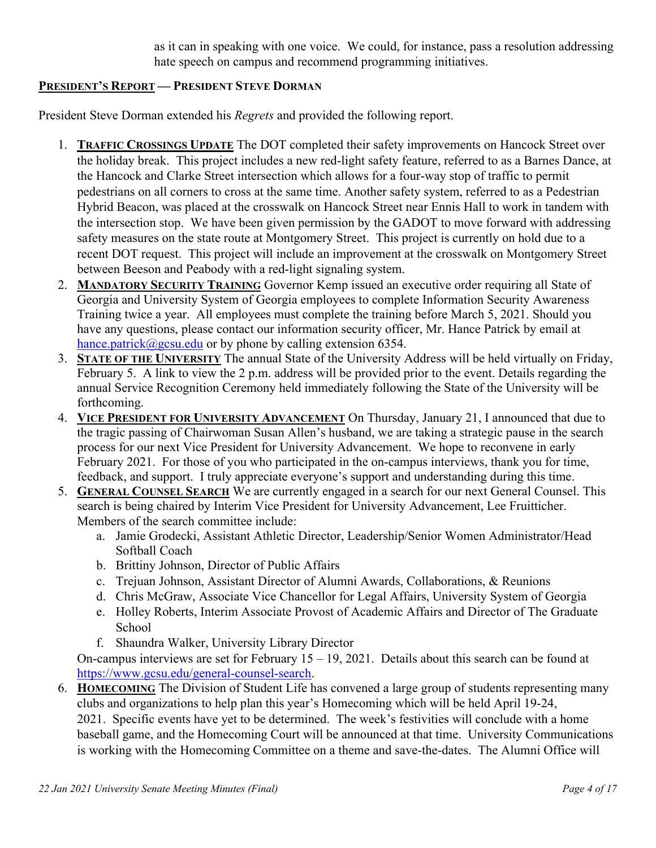as it can in speaking with one voice. We could, for instance, pass a resolution addressing hate speech on campus and recommend programming initiatives.

### **PRESIDENT'S REPORT — PRESIDENT STEVE DORMAN**

President Steve Dorman extended his *Regrets* and provided the following report.

- 1. **TRAFFIC CROSSINGS UPDATE** The DOT completed their safety improvements on Hancock Street over the holiday break. This project includes a new red-light safety feature, referred to as a Barnes Dance, at the Hancock and Clarke Street intersection which allows for a four-way stop of traffic to permit pedestrians on all corners to cross at the same time. Another safety system, referred to as a Pedestrian Hybrid Beacon, was placed at the crosswalk on Hancock Street near Ennis Hall to work in tandem with the intersection stop. We have been given permission by the GADOT to move forward with addressing safety measures on the state route at Montgomery Street. This project is currently on hold due to a recent DOT request. This project will include an improvement at the crosswalk on Montgomery Street between Beeson and Peabody with a red-light signaling system.
- 2. **MANDATORY SECURITY TRAINING** Governor Kemp issued an executive order requiring all State of Georgia and University System of Georgia employees to complete Information Security Awareness Training twice a year. All employees must complete the training before March 5, 2021. Should you have any questions, please contact our information security officer, Mr. Hance Patrick by email at [hance.patrick@gcsu.edu](mailto:hance.patrick@gcsu.edu) or by phone by calling extension 6354.
- 3. **STATE OF THE UNIVERSITY** The annual State of the University Address will be held virtually on Friday, February 5. A link to view the 2 p.m. address will be provided prior to the event. Details regarding the annual Service Recognition Ceremony held immediately following the State of the University will be forthcoming.
- 4. **VICE PRESIDENT FOR UNIVERSITY ADVANCEMENT** On Thursday, January 21, I announced that due to the tragic passing of Chairwoman Susan Allen's husband, we are taking a strategic pause in the search process for our next Vice President for University Advancement. We hope to reconvene in early February 2021. For those of you who participated in the on-campus interviews, thank you for time, feedback, and support. I truly appreciate everyone's support and understanding during this time.
- 5. **GENERAL COUNSEL SEARCH** We are currently engaged in a search for our next General Counsel. This search is being chaired by Interim Vice President for University Advancement, Lee Fruitticher. Members of the search committee include:
	- a. Jamie Grodecki, Assistant Athletic Director, Leadership/Senior Women Administrator/Head Softball Coach
	- b. Brittiny Johnson, Director of Public Affairs
	- c. Trejuan Johnson, Assistant Director of Alumni Awards, Collaborations, & Reunions
	- d. Chris McGraw, Associate Vice Chancellor for Legal Affairs, University System of Georgia
	- e. Holley Roberts, Interim Associate Provost of Academic Affairs and Director of The Graduate School
	- f. Shaundra Walker, University Library Director

On-campus interviews are set for February 15 – 19, 2021. Details about this search can be found at [https://www.gcsu.edu/general-counsel-search.](https://www.gcsu.edu/general-counsel-search)

6. **HOMECOMING** The Division of Student Life has convened a large group of students representing many clubs and organizations to help plan this year's Homecoming which will be held April 19-24, 2021. Specific events have yet to be determined. The week's festivities will conclude with a home baseball game, and the Homecoming Court will be announced at that time. University Communications is working with the Homecoming Committee on a theme and save-the-dates. The Alumni Office will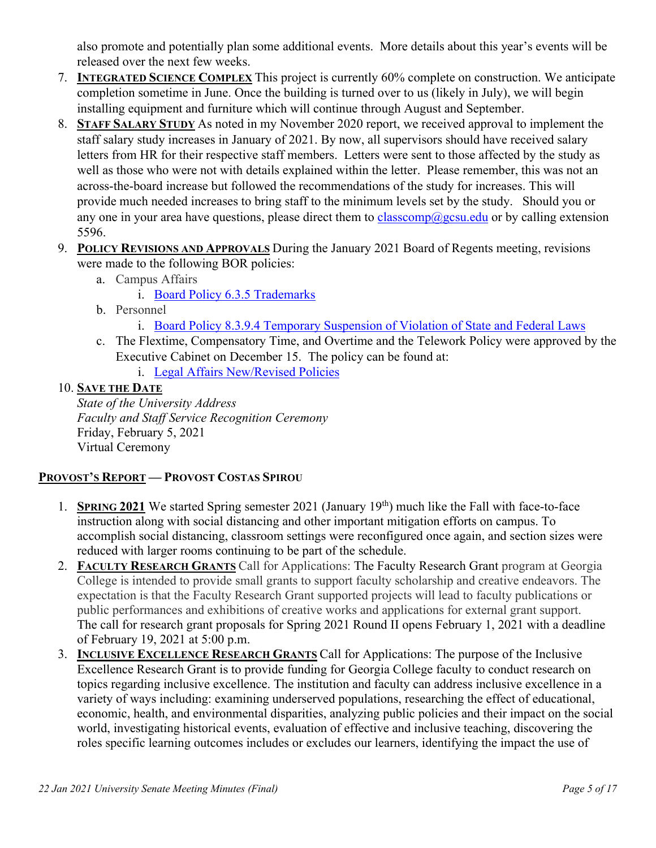also promote and potentially plan some additional events. More details about this year's events will be released over the next few weeks.

- 7. **INTEGRATED SCIENCE COMPLEX** This project is currently 60% complete on construction. We anticipate completion sometime in June. Once the building is turned over to us (likely in July), we will begin installing equipment and furniture which will continue through August and September.
- 8. **STAFF SALARY STUDY** As noted in my November 2020 report, we received approval to implement the staff salary study increases in January of 2021. By now, all supervisors should have received salary letters from HR for their respective staff members. Letters were sent to those affected by the study as well as those who were not with details explained within the letter. Please remember, this was not an across-the-board increase but followed the recommendations of the study for increases. This will provide much needed increases to bring staff to the minimum levels set by the study. Should you or any one in your area have questions, please direct them to [classcomp@gcsu.edu](mailto:classcomp@gcsu.edu) or by calling extension 5596.
- 9. **POLICY REVISIONS AND APPROVALS** During the January 2021 Board of Regents meeting, revisions were made to the following BOR policies:
	- a. Campus Affairs
		- i. Board Policy 6.3.5 Trademarks
	- b. Personnel
		- i. [Board Policy 8.3.9.4 Temporary Suspension of Violation of State and Federal Laws](https://www.usg.edu/policymanual/section8/C245/#p8.3.9_discipline_and_removal_of_faculty_members)
	- c. The Flextime, Compensatory Time, and Overtime and the Telework Policy were approved by the Executive Cabinet on December 15. The policy can be found at:
		- i. [Legal Affairs New/Revised Policies](https://www.gcsu.edu/legalaffairs/newrevised-policies)

# 10. **SAVE THE DATE**

*State of the University Address Faculty and Staff Service Recognition Ceremony*  Friday, February 5, 2021 Virtual Ceremony

# **PROVOST'S REPORT — PROVOST COSTAS SPIROU**

- 1. **SPRING 2021** We started Spring semester 2021 (January 19th) much like the Fall with face-to-face instruction along with social distancing and other important mitigation efforts on campus. To accomplish social distancing, classroom settings were reconfigured once again, and section sizes were reduced with larger rooms continuing to be part of the schedule.
- 2. **FACULTY RESEARCH GRANTS** Call for Applications: The Faculty Research Grant program at Georgia College is intended to provide small grants to support faculty scholarship and creative endeavors. The expectation is that the Faculty Research Grant supported projects will lead to faculty publications or public performances and exhibitions of creative works and applications for external grant support. The call for research grant proposals for Spring 2021 Round II opens February 1, 2021 with a deadline of February 19, 2021 at 5:00 p.m.
- 3. **INCLUSIVE EXCELLENCE RESEARCH GRANTS** Call for Applications: The purpose of the Inclusive Excellence Research Grant is to provide funding for Georgia College faculty to conduct research on topics regarding inclusive excellence. The institution and faculty can address inclusive excellence in a variety of ways including: examining underserved populations, researching the effect of educational, economic, health, and environmental disparities, analyzing public policies and their impact on the social world, investigating historical events, evaluation of effective and inclusive teaching, discovering the roles specific learning outcomes includes or excludes our learners, identifying the impact the use of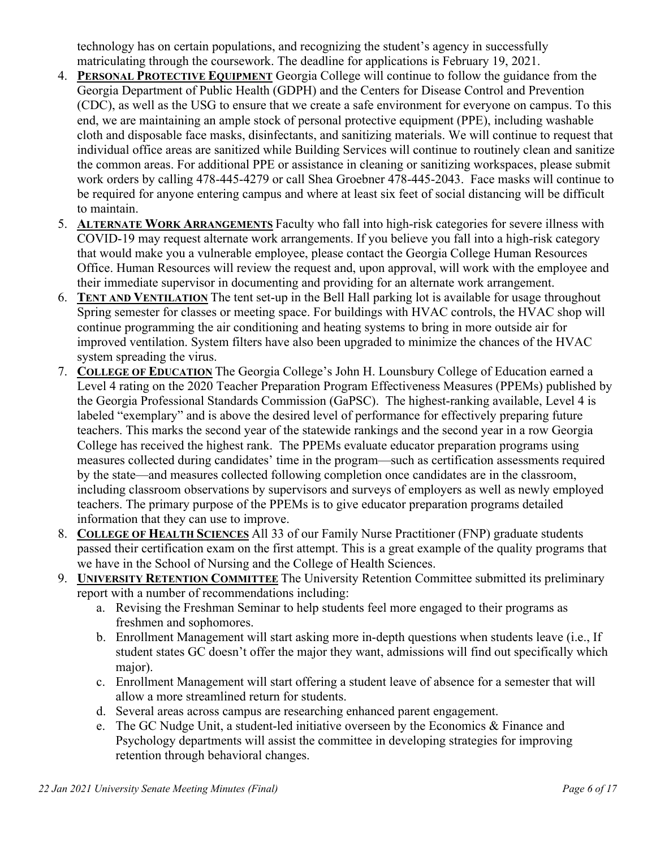technology has on certain populations, and recognizing the student's agency in successfully matriculating through the coursework. The deadline for applications is February 19, 2021.

- 4. **PERSONAL PROTECTIVE EQUIPMENT** Georgia College will continue to follow the guidance from the Georgia Department of Public Health (GDPH) and the Centers for Disease Control and Prevention (CDC), as well as the USG to ensure that we create a safe environment for everyone on campus. To this end, we are maintaining an ample stock of personal protective equipment (PPE), including washable cloth and disposable face masks, disinfectants, and sanitizing materials. We will continue to request that individual office areas are sanitized while Building Services will continue to routinely clean and sanitize the common areas. For additional PPE or assistance in cleaning or sanitizing workspaces, please submit work orders by calling 478-445-4279 or call Shea Groebner 478-445-2043. Face masks will continue to be required for anyone entering campus and where at least six feet of social distancing will be difficult to maintain.
- 5. **ALTERNATE WORK ARRANGEMENTS** Faculty who fall into high-risk categories for severe illness with COVID-19 may request alternate work arrangements. If you believe you fall into a high-risk category that would make you a vulnerable employee, please contact the Georgia College Human Resources Office. Human Resources will review the request and, upon approval, will work with the employee and their immediate supervisor in documenting and providing for an alternate work arrangement.
- 6. **TENT AND VENTILATION** The tent set-up in the Bell Hall parking lot is available for usage throughout Spring semester for classes or meeting space. For buildings with HVAC controls, the HVAC shop will continue programming the air conditioning and heating systems to bring in more outside air for improved ventilation. System filters have also been upgraded to minimize the chances of the HVAC system spreading the virus.
- 7. **COLLEGE OF EDUCATION** The Georgia College's John H. Lounsbury College of Education earned a Level 4 rating on the 2020 Teacher Preparation Program Effectiveness Measures (PPEMs) published by the Georgia Professional Standards Commission (GaPSC). The highest-ranking available, Level 4 is labeled "exemplary" and is above the desired level of performance for effectively preparing future teachers. This marks the second year of the statewide rankings and the second year in a row Georgia College has received the highest rank. The PPEMs evaluate educator preparation programs using measures collected during candidates' time in the program—such as certification assessments required by the state—and measures collected following completion once candidates are in the classroom, including classroom observations by supervisors and surveys of employers as well as newly employed teachers. The primary purpose of the PPEMs is to give educator preparation programs detailed information that they can use to improve.
- 8. **COLLEGE OF HEALTH SCIENCES** All 33 of our Family Nurse Practitioner (FNP) graduate students passed their certification exam on the first attempt. This is a great example of the quality programs that we have in the School of Nursing and the College of Health Sciences.
- 9. **UNIVERSITY RETENTION COMMITTEE** The University Retention Committee submitted its preliminary report with a number of recommendations including:
	- a. Revising the Freshman Seminar to help students feel more engaged to their programs as freshmen and sophomores.
	- b. Enrollment Management will start asking more in-depth questions when students leave (i.e., If student states GC doesn't offer the major they want, admissions will find out specifically which major).
	- c. Enrollment Management will start offering a student leave of absence for a semester that will allow a more streamlined return for students.
	- d. Several areas across campus are researching enhanced parent engagement.
	- e. The GC Nudge Unit, a student-led initiative overseen by the Economics & Finance and Psychology departments will assist the committee in developing strategies for improving retention through behavioral changes.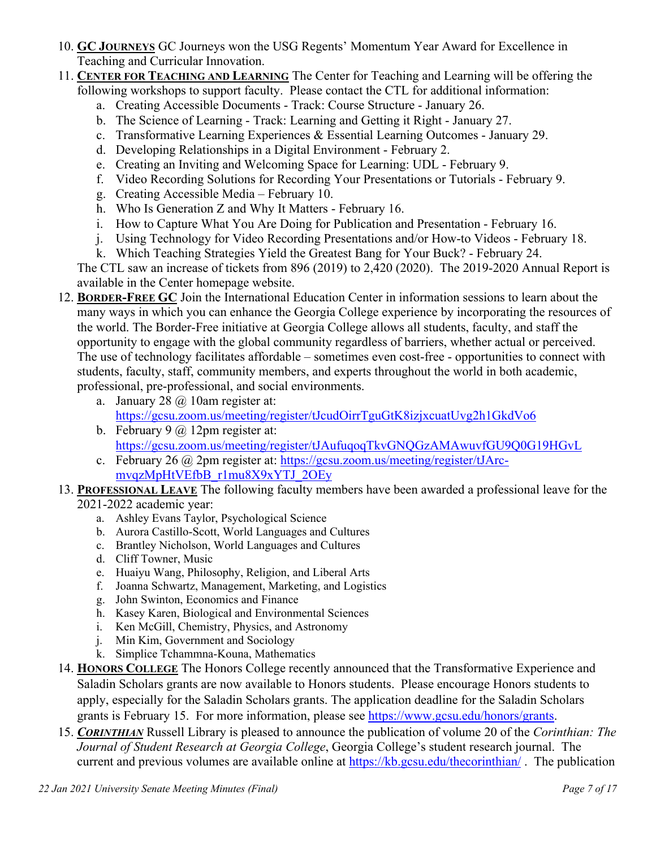- 10. **GC JOURNEYS** GC Journeys won the USG Regents' Momentum Year Award for Excellence in Teaching and Curricular Innovation.
- 11. **CENTER FOR TEACHING AND LEARNING** The Center for Teaching and Learning will be offering the following workshops to support faculty. Please contact the CTL for additional information:
	- a. Creating Accessible Documents Track: Course Structure January 26.
	- b. The Science of Learning Track: Learning and Getting it Right January 27.
	- c. Transformative Learning Experiences & Essential Learning Outcomes January 29.
	- d. Developing Relationships in a Digital Environment February 2.
	- e. Creating an Inviting and Welcoming Space for Learning: UDL February 9.
	- f. Video Recording Solutions for Recording Your Presentations or Tutorials February 9.
	- g. Creating Accessible Media February 10.
	- h. Who Is Generation Z and Why It Matters February 16.
	- i. How to Capture What You Are Doing for Publication and Presentation February 16.
	- j. Using Technology for Video Recording Presentations and/or How-to Videos February 18.
	- k. Which Teaching Strategies Yield the Greatest Bang for Your Buck? February 24.

The CTL saw an increase of tickets from 896 (2019) to 2,420 (2020). The 2019-2020 Annual Report is available in the Center homepage website.

- 12. **BORDER-FREE GC** Join the International Education Center in information sessions to learn about the many ways in which you can enhance the Georgia College experience by incorporating the resources of the world. The Border-Free initiative at Georgia College allows all students, faculty, and staff the opportunity to engage with the global community regardless of barriers, whether actual or perceived. The use of technology facilitates affordable – sometimes even cost-free - opportunities to connect with students, faculty, staff, community members, and experts throughout the world in both academic, professional, pre-professional, and social environments.
	- a. January 28  $\omega$  10am register at: [https://gcsu.zoom.us/meeting/register/tJcudOirrTguGtK8izjxcuatUvg2h1GkdVo6](https://nam11.safelinks.protection.outlook.com/?url=https%3A%2F%2Fgcsu.zoom.us%2Fmeeting%2Fregister%2FtJcudOirrTguGtK8izjxcuatUvg2h1GkdVo6&data=04%7C01%7Cshannon.gardner%40gcsu.edu%7C7be5967d5dee4d07458d08d8b1c7c7be%7Cbfd29cfa8e7142e69abc953a6d6f07d6%7C0%7C0%7C637454818894995989%7CUnknown%7CTWFpbGZsb3d8eyJWIjoiMC4wLjAwMDAiLCJQIjoiV2luMzIiLCJBTiI6Ik1haWwiLCJXVCI6Mn0%3D%7C1000&sdata=1MyH%2B0AydZ5kIlGTW6JkXcSEj6BXj8B4pqdj%2FVG5XKE%3D&reserved=0)
	- b. February  $9 \text{ (a)} 12 \text{ pm}$  register at: [https://gcsu.zoom.us/meeting/register/tJAufuqoqTkvGNQGzAMAwuvfGU9Q0G19HGvL](https://nam11.safelinks.protection.outlook.com/?url=https%3A%2F%2Fgcsu.zoom.us%2Fmeeting%2Fregister%2FtJAufuqoqTkvGNQGzAMAwuvfGU9Q0G19HGvL&data=04%7C01%7Cshannon.gardner%40gcsu.edu%7C7be5967d5dee4d07458d08d8b1c7c7be%7Cbfd29cfa8e7142e69abc953a6d6f07d6%7C0%7C0%7C637454818894995989%7CUnknown%7CTWFpbGZsb3d8eyJWIjoiMC4wLjAwMDAiLCJQIjoiV2luMzIiLCJBTiI6Ik1haWwiLCJXVCI6Mn0%3D%7C1000&sdata=9Jd2M0d6%2BmV69GqIZspxdJAiL2RYZy048eMg%2FskhArU%3D&reserved=0)
	- c. February 26 @ 2pm register at: [https://gcsu.zoom.us/meeting/register/tJArc](https://nam11.safelinks.protection.outlook.com/?url=https%3A%2F%2Fgcsu.zoom.us%2Fmeeting%2Fregister%2FtJArc-mvqzMpHtVEfbB_r1mu8X9xYTJ_2OEy&data=04%7C01%7Cshannon.gardner%40gcsu.edu%7C7be5967d5dee4d07458d08d8b1c7c7be%7Cbfd29cfa8e7142e69abc953a6d6f07d6%7C0%7C0%7C637454818895005983%7CUnknown%7CTWFpbGZsb3d8eyJWIjoiMC4wLjAwMDAiLCJQIjoiV2luMzIiLCJBTiI6Ik1haWwiLCJXVCI6Mn0%3D%7C1000&sdata=3NXIGb%2BW7aipE%2BrFl8hh9IHO%2FK4qpySG3dqukbtKSms%3D&reserved=0)[mvqzMpHtVEfbB\\_r1mu8X9xYTJ\\_2OEy](https://nam11.safelinks.protection.outlook.com/?url=https%3A%2F%2Fgcsu.zoom.us%2Fmeeting%2Fregister%2FtJArc-mvqzMpHtVEfbB_r1mu8X9xYTJ_2OEy&data=04%7C01%7Cshannon.gardner%40gcsu.edu%7C7be5967d5dee4d07458d08d8b1c7c7be%7Cbfd29cfa8e7142e69abc953a6d6f07d6%7C0%7C0%7C637454818895005983%7CUnknown%7CTWFpbGZsb3d8eyJWIjoiMC4wLjAwMDAiLCJQIjoiV2luMzIiLCJBTiI6Ik1haWwiLCJXVCI6Mn0%3D%7C1000&sdata=3NXIGb%2BW7aipE%2BrFl8hh9IHO%2FK4qpySG3dqukbtKSms%3D&reserved=0)

### 13. **PROFESSIONAL LEAVE** The following faculty members have been awarded a professional leave for the 2021-2022 academic year:

- a. Ashley Evans Taylor, Psychological Science
- b. Aurora Castillo-Scott, World Languages and Cultures
- c. Brantley Nicholson, World Languages and Cultures
- d. Cliff Towner, Music
- e. Huaiyu Wang, Philosophy, Religion, and Liberal Arts
- f. Joanna Schwartz, Management, Marketing, and Logistics
- g. John Swinton, Economics and Finance
- h. Kasey Karen, Biological and Environmental Sciences
- i. Ken McGill, Chemistry, Physics, and Astronomy
- j. Min Kim, Government and Sociology
- k. Simplice Tchammna-Kouna, Mathematics
- 14. **HONORS COLLEGE** The Honors College recently announced that the Transformative Experience and Saladin Scholars grants are now available to Honors students. Please encourage Honors students to apply, especially for the Saladin Scholars grants. The application deadline for the Saladin Scholars grants is February 15. For more information, please see [https://www.gcsu.edu/honors/grants.](https://www.gcsu.edu/honors/grants)
- 15. *CORINTHIAN* Russell Library is pleased to announce the publication of volume 20 of the *Corinthian: The Journal of Student Research at Georgia College*, Georgia College's student research journal. The current and previous volumes are available online at [https://kb.gcsu.edu/thecorinthian/](https://nam11.safelinks.protection.outlook.com/?url=https%3A%2F%2Fkb.gcsu.edu%2Fthecorinthian%2F&data=04%7C01%7Ccostas.spirou%40gcsu.edu%7Ca998ed87a5164076dece08d88bcbd396%7Cbfd29cfa8e7142e69abc953a6d6f07d6%7C0%7C0%7C637413054824054244%7CUnknown%7CTWFpbGZsb3d8eyJWIjoiMC4wLjAwMDAiLCJQIjoiV2luMzIiLCJBTiI6Ik1haWwiLCJXVCI6Mn0%3D%7C1000&sdata=UCYJHsK412hg2YdkZgrkwJ7tujakGpr9TUP%2Fu%2BHF9d0%3D&reserved=0) . The publication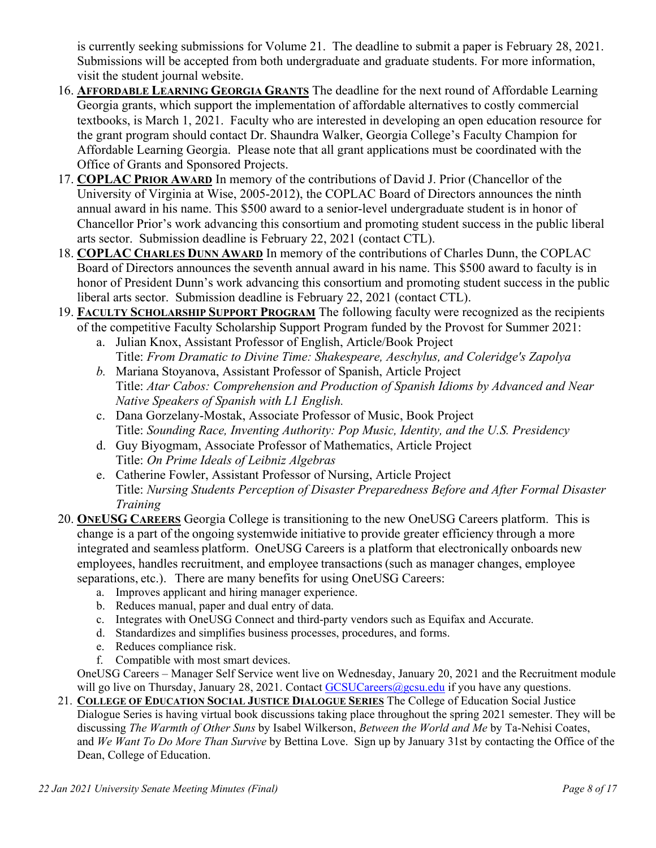is currently seeking submissions for Volume 21. The deadline to submit a paper is February 28, 2021. Submissions will be accepted from both undergraduate and graduate students. For more information, visit the student journal website.

- 16. **AFFORDABLE LEARNING GEORGIA GRANTS** The deadline for the next round of Affordable Learning Georgia grants, which support the implementation of affordable alternatives to costly commercial textbooks, is March 1, 2021. Faculty who are interested in developing an open education resource for the grant program should contact Dr. Shaundra Walker, Georgia College's Faculty Champion for Affordable Learning Georgia. Please note that all grant applications must be coordinated with the Office of Grants and Sponsored Projects.
- 17. **COPLAC PRIOR AWARD** In memory of the contributions of David J. Prior (Chancellor of the University of Virginia at Wise, 2005-2012), the COPLAC Board of Directors announces the ninth annual award in his name. This \$500 award to a senior-level undergraduate student is in honor of Chancellor Prior's work advancing this consortium and promoting student success in the public liberal arts sector. Submission deadline is February 22, 2021 (contact CTL).
- 18. **COPLAC CHARLES DUNN AWARD** In memory of the contributions of Charles Dunn, the COPLAC Board of Directors announces the seventh annual award in his name. This \$500 award to faculty is in honor of President Dunn's work advancing this consortium and promoting student success in the public liberal arts sector. Submission deadline is February 22, 2021 (contact CTL).
- 19. **FACULTY SCHOLARSHIP SUPPORT PROGRAM** The following faculty were recognized as the recipients of the competitive Faculty Scholarship Support Program funded by the Provost for Summer 2021:
	- a. Julian Knox, Assistant Professor of English, Article/Book Project Title: *From Dramatic to Divine Time: Shakespeare, Aeschylus, and Coleridge's Zapolya*
	- *b.* Mariana Stoyanova, Assistant Professor of Spanish, Article Project Title: *Atar Cabos: Comprehension and Production of Spanish Idioms by Advanced and Near Native Speakers of Spanish with L1 English.*
	- c. Dana Gorzelany-Mostak, Associate Professor of Music, Book Project Title: *Sounding Race, Inventing Authority: Pop Music, Identity, and the U.S. Presidency*
	- d. Guy Biyogmam, Associate Professor of Mathematics, Article Project Title: *On Prime Ideals of Leibniz Algebras*
	- e. Catherine Fowler, Assistant Professor of Nursing, Article Project Title: *Nursing Students Perception of Disaster Preparedness Before and After Formal Disaster Training*
- 20. **ONEUSG CAREERS** Georgia College is transitioning to the new OneUSG Careers platform. This is change is a part of the ongoing systemwide initiative to provide greater efficiency through a more integrated and seamless platform.  OneUSG Careers is a platform that electronically onboards new employees, handles recruitment, and employee transactions (such as manager changes, employee separations, etc.).   There are many benefits for using OneUSG Careers:
	- a. Improves applicant and hiring manager experience.
	- b. Reduces manual, paper and dual entry of data.
	- c. Integrates with OneUSG Connect and third-party vendors such as Equifax and Accurate.
	- d. Standardizes and simplifies business processes, procedures, and forms.
	- e. Reduces compliance risk.
	- f. Compatible with most smart devices.

OneUSG Careers – Manager Self Service went live on Wednesday, January 20, 2021 and the Recruitment module will go live on Thursday, January 28, 2021. Contact  $GCSUCareers@ggcsu.edu$  if you have any questions.

21. **COLLEGE OF EDUCATION SOCIAL JUSTICE DIALOGUE SERIES** The College of Education Social Justice Dialogue Series is having virtual book discussions taking place throughout the spring 2021 semester. They will be discussing *The Warmth of Other Suns* by Isabel Wilkerson, *Between the World and Me* by Ta-Nehisi Coates, and *We Want To Do More Than Survive* by Bettina Love. Sign up by January 31st by contacting the Office of the Dean, College of Education.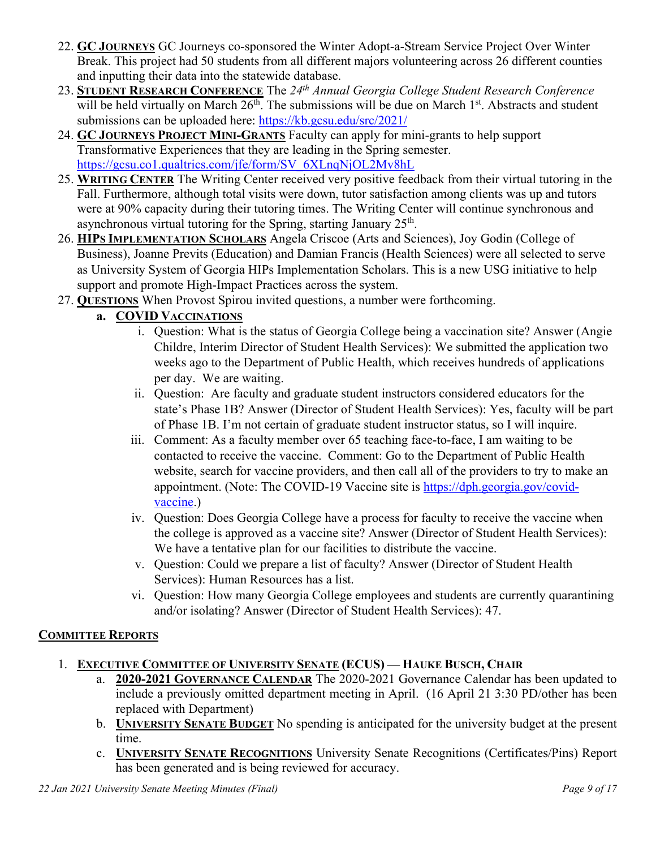- 22. **GC JOURNEYS** GC Journeys co-sponsored the Winter Adopt-a-Stream Service Project Over Winter Break. This project had 50 students from all different majors volunteering across 26 different counties and inputting their data into the statewide database.
- 23. **STUDENT RESEARCH CONFERENCE** The *24th Annual Georgia College Student Research Conference* will be held virtually on March  $26<sup>th</sup>$ . The submissions will be due on March  $1<sup>st</sup>$ . Abstracts and student submissions can be uploaded here:<https://kb.gcsu.edu/src/2021/>
- 24. **GC JOURNEYS PROJECT MINI-GRANTS** Faculty can apply for mini-grants to help support Transformative Experiences that they are leading in the Spring semester. [https://gcsu.co1.qualtrics.com/jfe/form/SV\\_6XLnqNjOL2Mv8hL](https://nam11.safelinks.protection.outlook.com/?url=https%3A%2F%2Fgcsu.co1.qualtrics.com%2Fjfe%2Fform%2FSV_6XLnqNjOL2Mv8hL&data=04%7C01%7Ccostas.spirou%40gcsu.edu%7C13bc9184f02648ca977208d8bd579354%7Cbfd29cfa8e7142e69abc953a6d6f07d6%7C0%7C0%7C637467531114180068%7CUnknown%7CTWFpbGZsb3d8eyJWIjoiMC4wLjAwMDAiLCJQIjoiV2luMzIiLCJBTiI6Ik1haWwiLCJXVCI6Mn0%3D%7C1000&sdata=EGF1gNTlZqrsIKfGEjVvZ15G%2FKwKgUUaue4uc05phNg%3D&reserved=0)
- 25. **WRITING CENTER** The Writing Center received very positive feedback from their virtual tutoring in the Fall. Furthermore, although total visits were down, tutor satisfaction among clients was up and tutors were at 90% capacity during their tutoring times. The Writing Center will continue synchronous and asynchronous virtual tutoring for the Spring, starting January  $25<sup>th</sup>$ .
- 26. **HIPS IMPLEMENTATION SCHOLARS** Angela Criscoe (Arts and Sciences), Joy Godin (College of Business), Joanne Previts (Education) and Damian Francis (Health Sciences) were all selected to serve as University System of Georgia HIPs Implementation Scholars. This is a new USG initiative to help support and promote High-Impact Practices across the system.
- 27. **QUESTIONS** When Provost Spirou invited questions, a number were forthcoming.

# **a. COVID VACCINATIONS**

- i. Question: What is the status of Georgia College being a vaccination site? Answer (Angie Childre, Interim Director of Student Health Services): We submitted the application two weeks ago to the Department of Public Health, which receives hundreds of applications per day. We are waiting.
- ii. Question: Are faculty and graduate student instructors considered educators for the state's Phase 1B? Answer (Director of Student Health Services): Yes, faculty will be part of Phase 1B. I'm not certain of graduate student instructor status, so I will inquire.
- iii. Comment: As a faculty member over 65 teaching face-to-face, I am waiting to be contacted to receive the vaccine. Comment: Go to the Department of Public Health website, search for vaccine providers, and then call all of the providers to try to make an appointment. (Note: The COVID-19 Vaccine site is [https://dph.georgia.gov/covid](https://dph.georgia.gov/covid-vaccine)[vaccine.](https://dph.georgia.gov/covid-vaccine))
- iv. Question: Does Georgia College have a process for faculty to receive the vaccine when the college is approved as a vaccine site? Answer (Director of Student Health Services): We have a tentative plan for our facilities to distribute the vaccine.
- v. Question: Could we prepare a list of faculty? Answer (Director of Student Health Services): Human Resources has a list.
- vi. Question: How many Georgia College employees and students are currently quarantining and/or isolating? Answer (Director of Student Health Services): 47.

# **COMMITTEE REPORTS**

- 1. **EXECUTIVE COMMITTEE OF UNIVERSITY SENATE (ECUS) — HAUKE BUSCH, CHAIR**
	- a. **2020-2021 GOVERNANCE CALENDAR** The 2020-2021 Governance Calendar has been updated to include a previously omitted department meeting in April. (16 April 21 3:30 PD/other has been replaced with Department)
	- b. **UNIVERSITY SENATE BUDGET** No spending is anticipated for the university budget at the present time.
	- c. **UNIVERSITY SENATE RECOGNITIONS** University Senate Recognitions (Certificates/Pins) Report has been generated and is being reviewed for accuracy.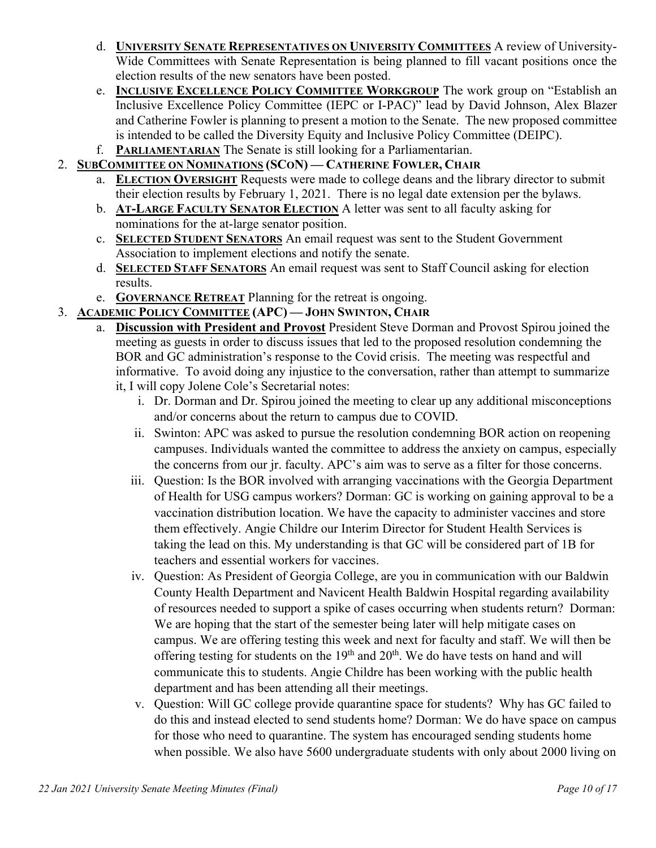- d. **UNIVERSITY SENATE REPRESENTATIVES ON UNIVERSITY COMMITTEES** A review of University-Wide Committees with Senate Representation is being planned to fill vacant positions once the election results of the new senators have been posted.
- e. **INCLUSIVE EXCELLENCE POLICY COMMITTEE WORKGROUP** The work group on "Establish an Inclusive Excellence Policy Committee (IEPC or I-PAC)" lead by David Johnson, Alex Blazer and Catherine Fowler is planning to present a motion to the Senate. The new proposed committee is intended to be called the Diversity Equity and Inclusive Policy Committee (DEIPC).
- f. **PARLIAMENTARIAN** The Senate is still looking for a Parliamentarian.
- 2. **SUBCOMMITTEE ON NOMINATIONS (SCON) — CATHERINE FOWLER, CHAIR**
	- a. **ELECTION OVERSIGHT** Requests were made to college deans and the library director to submit their election results by February 1, 2021. There is no legal date extension per the bylaws.
	- b. **AT-LARGE FACULTY SENATOR ELECTION** A letter was sent to all faculty asking for nominations for the at-large senator position.
	- c. **SELECTED STUDENT SENATORS** An email request was sent to the Student Government Association to implement elections and notify the senate.
	- d. **SELECTED STAFF SENATORS** An email request was sent to Staff Council asking for election results.
	- e. **GOVERNANCE RETREAT** Planning for the retreat is ongoing.
- 3. **ACADEMIC POLICY COMMITTEE (APC) — JOHN SWINTON, CHAIR**
	- a. **Discussion with President and Provost** President Steve Dorman and Provost Spirou joined the meeting as guests in order to discuss issues that led to the proposed resolution condemning the BOR and GC administration's response to the Covid crisis. The meeting was respectful and informative. To avoid doing any injustice to the conversation, rather than attempt to summarize it, I will copy Jolene Cole's Secretarial notes:
		- i. Dr. Dorman and Dr. Spirou joined the meeting to clear up any additional misconceptions and/or concerns about the return to campus due to COVID.
		- ii. Swinton: APC was asked to pursue the resolution condemning BOR action on reopening campuses. Individuals wanted the committee to address the anxiety on campus, especially the concerns from our jr. faculty. APC's aim was to serve as a filter for those concerns.
		- iii. Question: Is the BOR involved with arranging vaccinations with the Georgia Department of Health for USG campus workers? Dorman: GC is working on gaining approval to be a vaccination distribution location. We have the capacity to administer vaccines and store them effectively. Angie Childre our Interim Director for Student Health Services is taking the lead on this. My understanding is that GC will be considered part of 1B for teachers and essential workers for vaccines.
		- iv. Question: As President of Georgia College, are you in communication with our Baldwin County Health Department and Navicent Health Baldwin Hospital regarding availability of resources needed to support a spike of cases occurring when students return? Dorman: We are hoping that the start of the semester being later will help mitigate cases on campus. We are offering testing this week and next for faculty and staff. We will then be offering testing for students on the  $19<sup>th</sup>$  and  $20<sup>th</sup>$ . We do have tests on hand and will communicate this to students. Angie Childre has been working with the public health department and has been attending all their meetings.
		- v. Question: Will GC college provide quarantine space for students? Why has GC failed to do this and instead elected to send students home? Dorman: We do have space on campus for those who need to quarantine. The system has encouraged sending students home when possible. We also have 5600 undergraduate students with only about 2000 living on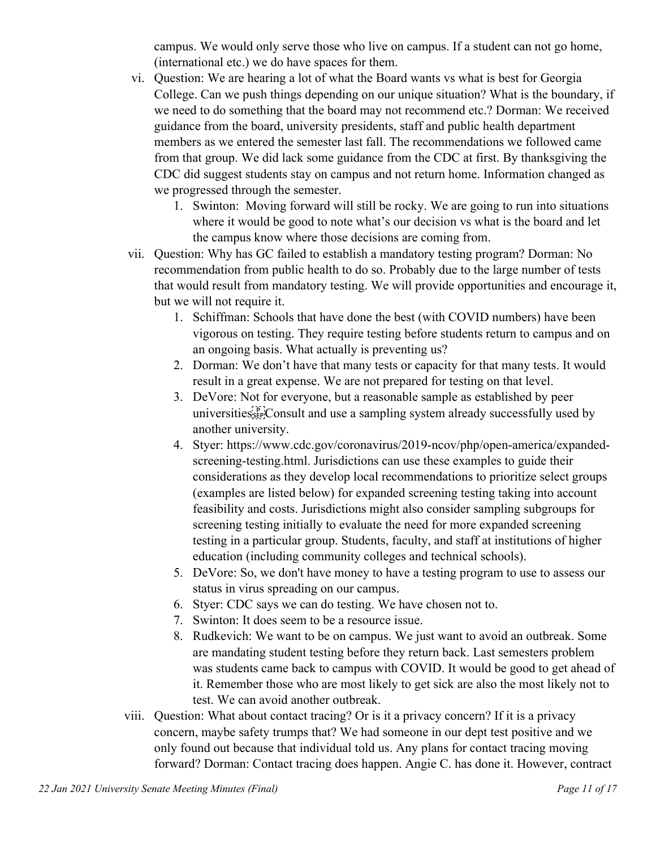campus. We would only serve those who live on campus. If a student can not go home, (international etc.) we do have spaces for them.

- vi. Question: We are hearing a lot of what the Board wants vs what is best for Georgia College. Can we push things depending on our unique situation? What is the boundary, if we need to do something that the board may not recommend etc.? Dorman: We received guidance from the board, university presidents, staff and public health department members as we entered the semester last fall. The recommendations we followed came from that group. We did lack some guidance from the CDC at first. By thanksgiving the CDC did suggest students stay on campus and not return home. Information changed as we progressed through the semester.
	- 1. Swinton: Moving forward will still be rocky. We are going to run into situations where it would be good to note what's our decision vs what is the board and let the campus know where those decisions are coming from.
- vii. Question: Why has GC failed to establish a mandatory testing program? Dorman: No recommendation from public health to do so. Probably due to the large number of tests that would result from mandatory testing. We will provide opportunities and encourage it, but we will not require it.
	- 1. Schiffman: Schools that have done the best (with COVID numbers) have been vigorous on testing. They require testing before students return to campus and on an ongoing basis. What actually is preventing us?
	- 2. Dorman: We don't have that many tests or capacity for that many tests. It would result in a great expense. We are not prepared for testing on that level.
	- 3. DeVore: Not for everyone, but a reasonable sample as established by peer universities<sup>[pr]</sup>Consult and use a sampling system already successfully used by another university.
	- 4. Styer: [https://www.cdc.gov/coronavirus/2019-ncov/php/open-america/expanded](https://www.cdc.gov/coronavirus/2019-ncov/php/open-america/expanded-screening-testing.html)[screening-testing.html.](https://www.cdc.gov/coronavirus/2019-ncov/php/open-america/expanded-screening-testing.html) Jurisdictions can use these examples to guide their considerations as they develop local recommendations to prioritize select groups (examples are listed below) for expanded screening testing taking into account feasibility and costs. Jurisdictions might also consider sampling subgroups for screening testing initially to evaluate the need for more expanded screening testing in a particular group. Students, faculty, and staff at institutions of higher education (including community colleges and technical schools).
	- 5. DeVore: So, we don't have money to have a testing program to use to assess our status in virus spreading on our campus.
	- 6. Styer: CDC says we can do testing. We have chosen not to.
	- 7. Swinton: It does seem to be a resource issue.
	- 8. Rudkevich: We want to be on campus. We just want to avoid an outbreak. Some are mandating student testing before they return back. Last semesters problem was students came back to campus with COVID. It would be good to get ahead of it. Remember those who are most likely to get sick are also the most likely not to test. We can avoid another outbreak.
- viii. Question: What about contact tracing? Or is it a privacy concern? If it is a privacy concern, maybe safety trumps that? We had someone in our dept test positive and we only found out because that individual told us. Any plans for contact tracing moving forward? Dorman: Contact tracing does happen. Angie C. has done it. However, contract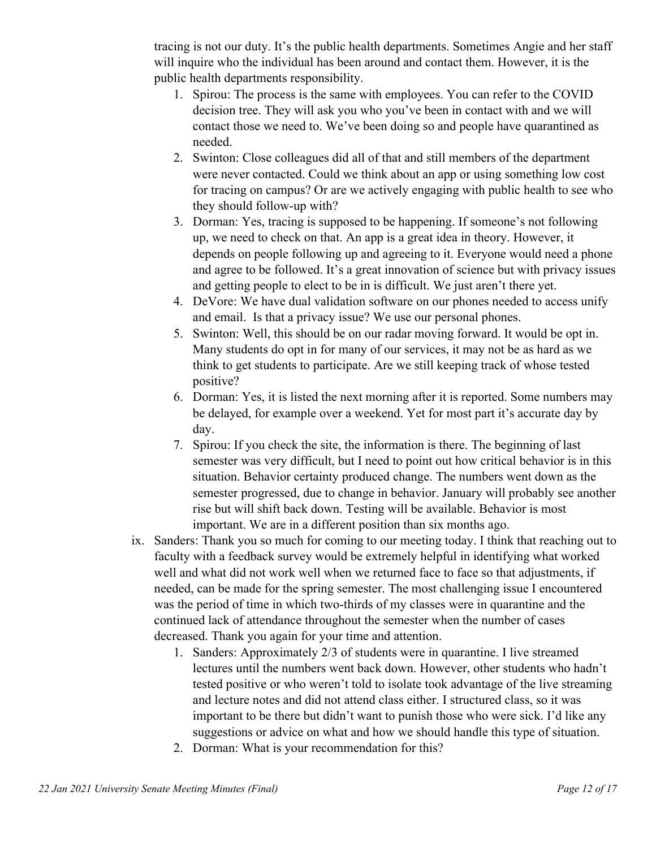tracing is not our duty. It's the public health departments. Sometimes Angie and her staff will inquire who the individual has been around and contact them. However, it is the public health departments responsibility.

- 1. Spirou: The process is the same with employees. You can refer to the COVID decision tree. They will ask you who you've been in contact with and we will contact those we need to. We've been doing so and people have quarantined as needed.
- 2. Swinton: Close colleagues did all of that and still members of the department were never contacted. Could we think about an app or using something low cost for tracing on campus? Or are we actively engaging with public health to see who they should follow-up with?
- 3. Dorman: Yes, tracing is supposed to be happening. If someone's not following up, we need to check on that. An app is a great idea in theory. However, it depends on people following up and agreeing to it. Everyone would need a phone and agree to be followed. It's a great innovation of science but with privacy issues and getting people to elect to be in is difficult. We just aren't there yet.
- 4. DeVore: We have dual validation software on our phones needed to access unify and email. Is that a privacy issue? We use our personal phones.
- 5. Swinton: Well, this should be on our radar moving forward. It would be opt in. Many students do opt in for many of our services, it may not be as hard as we think to get students to participate. Are we still keeping track of whose tested positive?
- 6. Dorman: Yes, it is listed the next morning after it is reported. Some numbers may be delayed, for example over a weekend. Yet for most part it's accurate day by day.
- 7. Spirou: If you check the site, the information is there. The beginning of last semester was very difficult, but I need to point out how critical behavior is in this situation. Behavior certainty produced change. The numbers went down as the semester progressed, due to change in behavior. January will probably see another rise but will shift back down. Testing will be available. Behavior is most important. We are in a different position than six months ago.
- ix. Sanders: Thank you so much for coming to our meeting today. I think that reaching out to faculty with a feedback survey would be extremely helpful in identifying what worked well and what did not work well when we returned face to face so that adjustments, if needed, can be made for the spring semester. The most challenging issue I encountered was the period of time in which two-thirds of my classes were in quarantine and the continued lack of attendance throughout the semester when the number of cases decreased. Thank you again for your time and attention.
	- 1. Sanders: Approximately 2/3 of students were in quarantine. I live streamed lectures until the numbers went back down. However, other students who hadn't tested positive or who weren't told to isolate took advantage of the live streaming and lecture notes and did not attend class either. I structured class, so it was important to be there but didn't want to punish those who were sick. I'd like any suggestions or advice on what and how we should handle this type of situation.
	- 2. Dorman: What is your recommendation for this?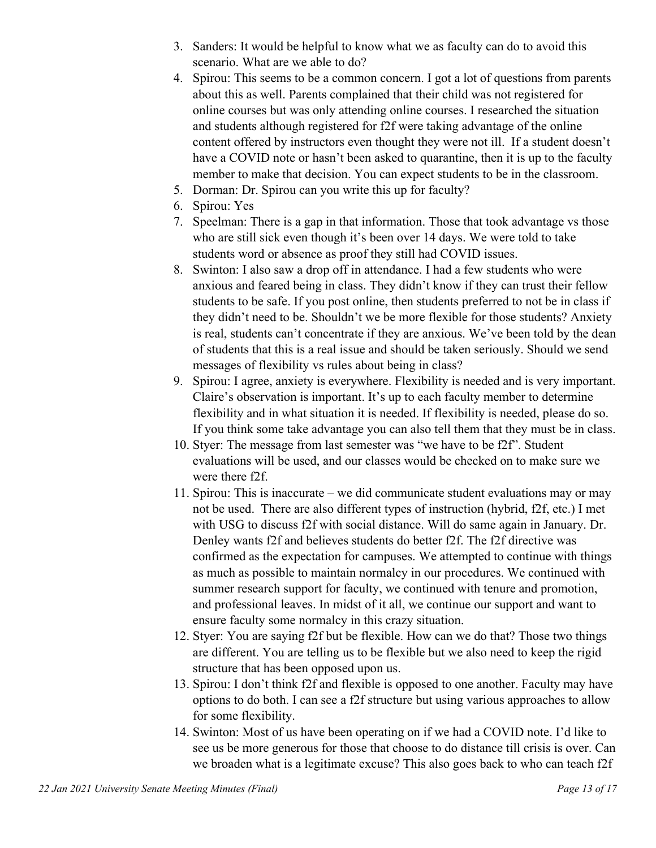- 3. Sanders: It would be helpful to know what we as faculty can do to avoid this scenario. What are we able to do?
- 4. Spirou: This seems to be a common concern. I got a lot of questions from parents about this as well. Parents complained that their child was not registered for online courses but was only attending online courses. I researched the situation and students although registered for f2f were taking advantage of the online content offered by instructors even thought they were not ill. If a student doesn't have a COVID note or hasn't been asked to quarantine, then it is up to the faculty member to make that decision. You can expect students to be in the classroom.
- 5. Dorman: Dr. Spirou can you write this up for faculty?
- 6. Spirou: Yes
- 7. Speelman: There is a gap in that information. Those that took advantage vs those who are still sick even though it's been over 14 days. We were told to take students word or absence as proof they still had COVID issues.
- 8. Swinton: I also saw a drop off in attendance. I had a few students who were anxious and feared being in class. They didn't know if they can trust their fellow students to be safe. If you post online, then students preferred to not be in class if they didn't need to be. Shouldn't we be more flexible for those students? Anxiety is real, students can't concentrate if they are anxious. We've been told by the dean of students that this is a real issue and should be taken seriously. Should we send messages of flexibility vs rules about being in class?
- 9. Spirou: I agree, anxiety is everywhere. Flexibility is needed and is very important. Claire's observation is important. It's up to each faculty member to determine flexibility and in what situation it is needed. If flexibility is needed, please do so. If you think some take advantage you can also tell them that they must be in class.
- 10. Styer: The message from last semester was "we have to be f2f". Student evaluations will be used, and our classes would be checked on to make sure we were there f2f.
- 11. Spirou: This is inaccurate we did communicate student evaluations may or may not be used. There are also different types of instruction (hybrid, f2f, etc.) I met with USG to discuss f2f with social distance. Will do same again in January. Dr. Denley wants f2f and believes students do better f2f. The f2f directive was confirmed as the expectation for campuses. We attempted to continue with things as much as possible to maintain normalcy in our procedures. We continued with summer research support for faculty, we continued with tenure and promotion, and professional leaves. In midst of it all, we continue our support and want to ensure faculty some normalcy in this crazy situation.
- 12. Styer: You are saying f2f but be flexible. How can we do that? Those two things are different. You are telling us to be flexible but we also need to keep the rigid structure that has been opposed upon us.
- 13. Spirou: I don't think f2f and flexible is opposed to one another. Faculty may have options to do both. I can see a f2f structure but using various approaches to allow for some flexibility.
- 14. Swinton: Most of us have been operating on if we had a COVID note. I'd like to see us be more generous for those that choose to do distance till crisis is over. Can we broaden what is a legitimate excuse? This also goes back to who can teach f2f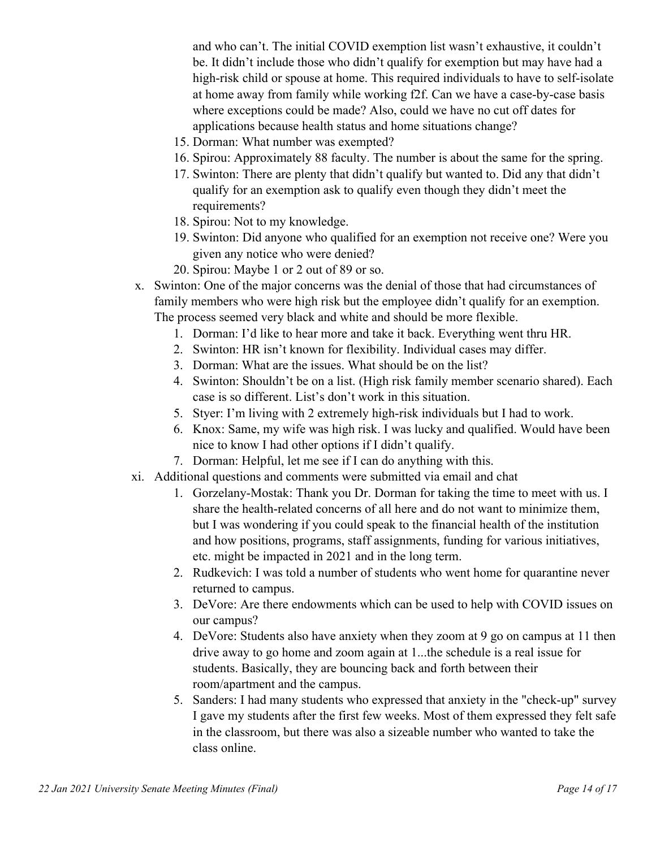and who can't. The initial COVID exemption list wasn't exhaustive, it couldn't be. It didn't include those who didn't qualify for exemption but may have had a high-risk child or spouse at home. This required individuals to have to self-isolate at home away from family while working f2f. Can we have a case-by-case basis where exceptions could be made? Also, could we have no cut off dates for applications because health status and home situations change?

- 15. Dorman: What number was exempted?
- 16. Spirou: Approximately 88 faculty. The number is about the same for the spring.
- 17. Swinton: There are plenty that didn't qualify but wanted to. Did any that didn't qualify for an exemption ask to qualify even though they didn't meet the requirements?
- 18. Spirou: Not to my knowledge.
- 19. Swinton: Did anyone who qualified for an exemption not receive one? Were you given any notice who were denied?
- 20. Spirou: Maybe 1 or 2 out of 89 or so.
- x. Swinton: One of the major concerns was the denial of those that had circumstances of family members who were high risk but the employee didn't qualify for an exemption. The process seemed very black and white and should be more flexible.
	- 1. Dorman: I'd like to hear more and take it back. Everything went thru HR.
	- 2. Swinton: HR isn't known for flexibility. Individual cases may differ.
	- 3. Dorman: What are the issues. What should be on the list?
	- 4. Swinton: Shouldn't be on a list. (High risk family member scenario shared). Each case is so different. List's don't work in this situation.
	- 5. Styer: I'm living with 2 extremely high-risk individuals but I had to work.
	- 6. Knox: Same, my wife was high risk. I was lucky and qualified. Would have been nice to know I had other options if I didn't qualify.
	- 7. Dorman: Helpful, let me see if I can do anything with this.
- xi. Additional questions and comments were submitted via email and chat
	- 1. Gorzelany-Mostak: Thank you Dr. Dorman for taking the time to meet with us. I share the health-related concerns of all here and do not want to minimize them, but I was wondering if you could speak to the financial health of the institution and how positions, programs, staff assignments, funding for various initiatives, etc. might be impacted in 2021 and in the long term.
	- 2. Rudkevich: I was told a number of students who went home for quarantine never returned to campus.
	- 3. DeVore: Are there endowments which can be used to help with COVID issues on our campus?
	- 4. DeVore: Students also have anxiety when they zoom at 9 go on campus at 11 then drive away to go home and zoom again at 1...the schedule is a real issue for students. Basically, they are bouncing back and forth between their room/apartment and the campus.
	- 5. Sanders: I had many students who expressed that anxiety in the "check-up" survey I gave my students after the first few weeks. Most of them expressed they felt safe in the classroom, but there was also a sizeable number who wanted to take the class online.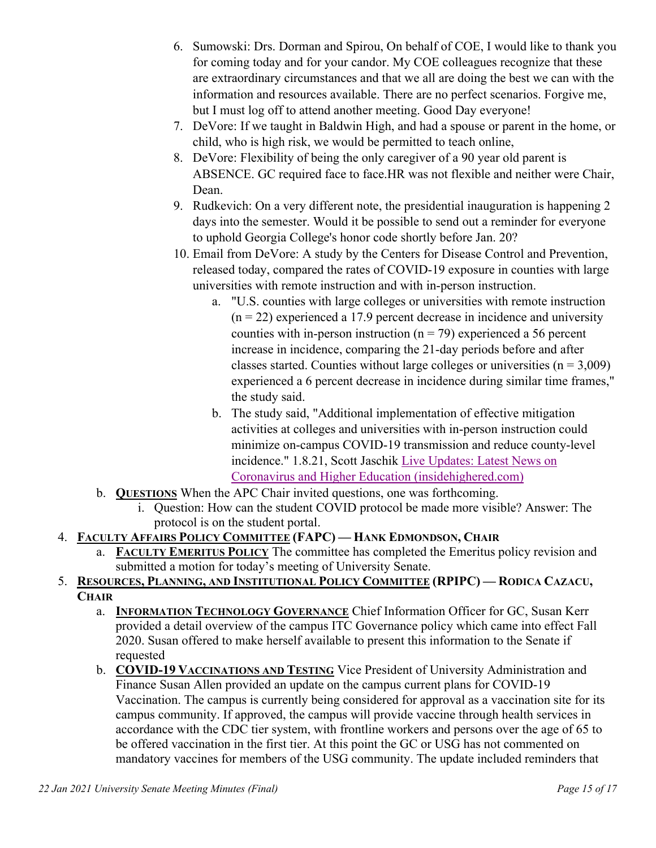- 6. Sumowski: Drs. Dorman and Spirou, On behalf of COE, I would like to thank you for coming today and for your candor. My COE colleagues recognize that these are extraordinary circumstances and that we all are doing the best we can with the information and resources available. There are no perfect scenarios. Forgive me, but I must log off to attend another meeting. Good Day everyone!
- 7. DeVore: If we taught in Baldwin High, and had a spouse or parent in the home, or child, who is high risk, we would be permitted to teach online,
- 8. DeVore: Flexibility of being the only caregiver of a 90 year old parent is ABSENCE. GC required face to face.HR was not flexible and neither were Chair, Dean.
- 9. Rudkevich: On a very different note, the presidential inauguration is happening 2 days into the semester. Would it be possible to send out a reminder for everyone to uphold Georgia College's honor code shortly before Jan. 20?
- 10. Email from DeVore: A study by the Centers for Disease Control and Prevention, released today, compared the rates of COVID-19 exposure in counties with large universities with remote instruction and with in-person instruction.
	- a. "U.S. counties with large colleges or universities with remote instruction  $(n = 22)$  experienced a 17.9 percent decrease in incidence and university counties with in-person instruction ( $n = 79$ ) experienced a 56 percent increase in incidence, comparing the 21-day periods before and after classes started. Counties without large colleges or universities  $(n = 3,009)$ experienced a 6 percent decrease in incidence during similar time frames," the study said.
	- b. The study said, "Additional implementation of effective mitigation activities at colleges and universities with in-person instruction could minimize on-campus COVID-19 transmission and reduce county-level incidence." 1.8.21, Scott Jaschik [Live Updates: Latest News on](https://nam11.safelinks.protection.outlook.com/?url=https%3A%2F%2Fwww.insidehighered.com%2Fnews%2F2021%2F01%2F08%2Flive-updates-latest-news-coronavirus-and-higher-education&data=04%7C01%7Cjolene.cole%40gcsu.edu%7C4dd55d06e32649d589f708d8b44d8826%7Cbfd29cfa8e7142e69abc953a6d6f07d6%7C0%7C0%7C637457592374808351%7CUnknown%7CTWFpbGZsb3d8eyJWIjoiMC4wLjAwMDAiLCJQIjoiV2luMzIiLCJBTiI6Ik1haWwiLCJXVCI6Mn0%3D%7C1000&sdata=kh%2BhX67gQMqSa2eU%2FD%2Bs1RfDiMxNW1toySY11vPUTYc%3D&reserved=0)  [Coronavirus and Higher Education \(insidehighered.com\)](https://nam11.safelinks.protection.outlook.com/?url=https%3A%2F%2Fwww.insidehighered.com%2Fnews%2F2021%2F01%2F08%2Flive-updates-latest-news-coronavirus-and-higher-education&data=04%7C01%7Cjolene.cole%40gcsu.edu%7C4dd55d06e32649d589f708d8b44d8826%7Cbfd29cfa8e7142e69abc953a6d6f07d6%7C0%7C0%7C637457592374808351%7CUnknown%7CTWFpbGZsb3d8eyJWIjoiMC4wLjAwMDAiLCJQIjoiV2luMzIiLCJBTiI6Ik1haWwiLCJXVCI6Mn0%3D%7C1000&sdata=kh%2BhX67gQMqSa2eU%2FD%2Bs1RfDiMxNW1toySY11vPUTYc%3D&reserved=0)
- b. **QUESTIONS** When the APC Chair invited questions, one was forthcoming.
	- i. Question: How can the student COVID protocol be made more visible? Answer: The protocol is on the student portal.

# 4. **FACULTY AFFAIRS POLICY COMMITTEE (FAPC) — HANK EDMONDSON, CHAIR**

**FACULTY EMERITUS POLICY** The committee has completed the Emeritus policy revision and submitted a motion for today's meeting of University Senate.

### 5. **RESOURCES, PLANNING, AND INSTITUTIONAL POLICY COMMITTEE (RPIPC) — RODICA CAZACU, CHAIR**

- a. **INFORMATION TECHNOLOGY GOVERNANCE** Chief Information Officer for GC, Susan Kerr provided a detail overview of the campus ITC Governance policy which came into effect Fall 2020. Susan offered to make herself available to present this information to the Senate if requested
- b. **COVID-19 VACCINATIONS AND TESTING** Vice President of University Administration and Finance Susan Allen provided an update on the campus current plans for COVID-19 Vaccination. The campus is currently being considered for approval as a vaccination site for its campus community. If approved, the campus will provide vaccine through health services in accordance with the CDC tier system, with frontline workers and persons over the age of 65 to be offered vaccination in the first tier. At this point the GC or USG has not commented on mandatory vaccines for members of the USG community. The update included reminders that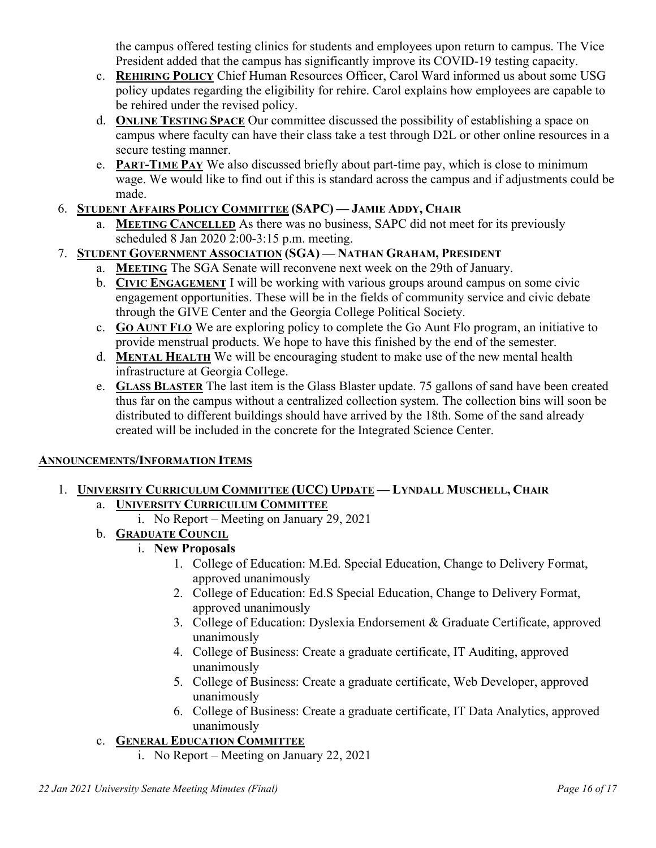the campus offered testing clinics for students and employees upon return to campus. The Vice President added that the campus has significantly improve its COVID-19 testing capacity.

- c. **REHIRING POLICY** Chief Human Resources Officer, Carol Ward informed us about some USG policy updates regarding the eligibility for rehire. Carol explains how employees are capable to be rehired under the revised policy.
- d. **ONLINE TESTING SPACE** Our committee discussed the possibility of establishing a space on campus where faculty can have their class take a test through D2L or other online resources in a secure testing manner.
- e. **PART-TIME PAY** We also discussed briefly about part-time pay, which is close to minimum wage. We would like to find out if this is standard across the campus and if adjustments could be made.

# 6. **STUDENT AFFAIRS POLICY COMMITTEE (SAPC) — JAMIE ADDY, CHAIR**

a. **MEETING CANCELLED** As there was no business, SAPC did not meet for its previously scheduled 8 Jan 2020 2:00-3:15 p.m. meeting.

# 7. **STUDENT GOVERNMENT ASSOCIATION (SGA) — NATHAN GRAHAM, PRESIDENT**

- a. **MEETING** The SGA Senate will reconvene next week on the 29th of January.
- b. **CIVIC ENGAGEMENT** I will be working with various groups around campus on some civic engagement opportunities. These will be in the fields of community service and civic debate through the GIVE Center and the Georgia College Political Society.
- c. **GO AUNT FLO** We are exploring policy to complete the Go Aunt Flo program, an initiative to provide menstrual products. We hope to have this finished by the end of the semester.
- d. **MENTAL HEALTH** We will be encouraging student to make use of the new mental health infrastructure at Georgia College.
- e. **GLASS BLASTER** The last item is the Glass Blaster update. 75 gallons of sand have been created thus far on the campus without a centralized collection system. The collection bins will soon be distributed to different buildings should have arrived by the 18th. Some of the sand already created will be included in the concrete for the Integrated Science Center.

### **ANNOUNCEMENTS/INFORMATION ITEMS**

- 1. **UNIVERSITY CURRICULUM COMMITTEE (UCC) UPDATE — LYNDALL MUSCHELL, CHAIR** a. **UNIVERSITY CURRICULUM COMMITTEE**
	- i. No Report Meeting on January 29, 2021
	- b. **GRADUATE COUNCIL** 
		- i. **New Proposals**
			- 1. College of Education: M.Ed. Special Education, Change to Delivery Format, approved unanimously
			- 2. College of Education: Ed.S Special Education, Change to Delivery Format, approved unanimously
			- 3. College of Education: Dyslexia Endorsement & Graduate Certificate, approved unanimously
			- 4. College of Business: Create a graduate certificate, IT Auditing, approved unanimously
			- 5. College of Business: Create a graduate certificate, Web Developer, approved unanimously
			- 6. College of Business: Create a graduate certificate, IT Data Analytics, approved unanimously

### c. **GENERAL EDUCATION COMMITTEE**

i. No Report – Meeting on January 22, 2021